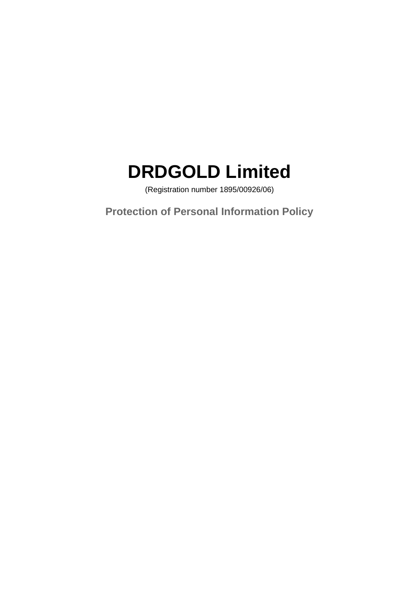# **DRDGOLD Limited**

(Registration number 1895/00926/06)

**Protection of Personal Information Policy**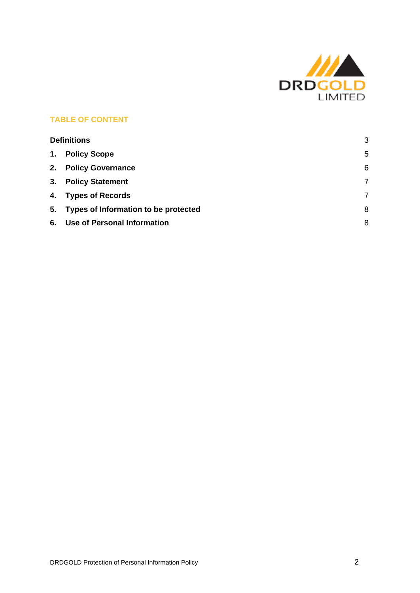

# **TABLE OF CONTENT**

<span id="page-1-0"></span>

| <b>Definitions</b> |                                         | 3 |
|--------------------|-----------------------------------------|---|
| 1.                 | <b>Policy Scope</b>                     | 5 |
| 2.                 | <b>Policy Governance</b>                | 6 |
|                    | 3. Policy Statement                     | 7 |
|                    | 4. Types of Records                     | 7 |
|                    | 5. Types of Information to be protected | 8 |
|                    | 6. Use of Personal Information          | 8 |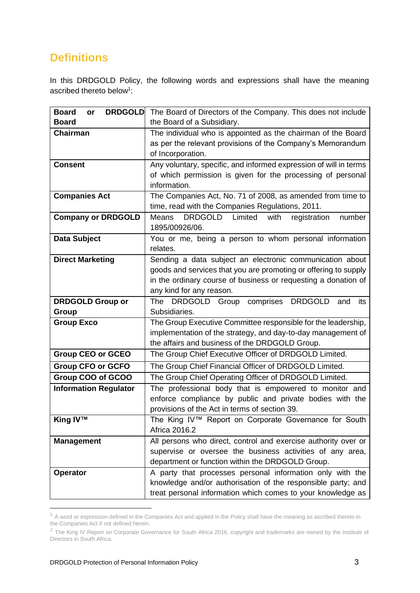# **Definitions**

In this DRDGOLD Policy, the following words and expressions shall have the meaning ascribed thereto below<sup>1</sup>:

| <b>Board</b><br><b>DRDGOLD</b><br>or | The Board of Directors of the Company. This does not include                                                                  |
|--------------------------------------|-------------------------------------------------------------------------------------------------------------------------------|
| <b>Board</b>                         | the Board of a Subsidiary.                                                                                                    |
| <b>Chairman</b>                      | The individual who is appointed as the chairman of the Board                                                                  |
|                                      | as per the relevant provisions of the Company's Memorandum                                                                    |
|                                      | of Incorporation.                                                                                                             |
| <b>Consent</b>                       | Any voluntary, specific, and informed expression of will in terms                                                             |
|                                      | of which permission is given for the processing of personal                                                                   |
|                                      | information.                                                                                                                  |
| <b>Companies Act</b>                 | The Companies Act, No. 71 of 2008, as amended from time to                                                                    |
|                                      | time, read with the Companies Regulations, 2011.                                                                              |
| <b>Company or DRDGOLD</b>            | <b>DRDGOLD</b><br>Limited<br><b>Means</b><br>with<br>number<br>registration                                                   |
|                                      | 1895/00926/06.                                                                                                                |
| <b>Data Subject</b>                  | You or me, being a person to whom personal information                                                                        |
|                                      | relates.                                                                                                                      |
| <b>Direct Marketing</b>              | Sending a data subject an electronic communication about                                                                      |
|                                      | goods and services that you are promoting or offering to supply                                                               |
|                                      | in the ordinary course of business or requesting a donation of                                                                |
|                                      | any kind for any reason.<br>The                                                                                               |
| <b>DRDGOLD Group or</b>              | <b>DRDGOLD</b><br><b>DRDGOLD</b><br>Group<br>comprises<br>and<br>its<br>Subsidiaries.                                         |
| Group                                |                                                                                                                               |
| <b>Group Exco</b>                    | The Group Executive Committee responsible for the leadership,<br>implementation of the strategy, and day-to-day management of |
|                                      | the affairs and business of the DRDGOLD Group.                                                                                |
| <b>Group CEO or GCEO</b>             | The Group Chief Executive Officer of DRDGOLD Limited.                                                                         |
|                                      |                                                                                                                               |
| <b>Group CFO or GCFO</b>             | The Group Chief Financial Officer of DRDGOLD Limited.                                                                         |
| Group COO of GCOO                    | The Group Chief Operating Officer of DRDGOLD Limited.                                                                         |
| <b>Information Regulator</b>         | The professional body that is empowered to monitor and                                                                        |
|                                      | enforce compliance by public and private bodies with the<br>provisions of the Act in terms of section 39.                     |
| <b>King IV™</b>                      | The King IV™ Report on Corporate Governance for South                                                                         |
|                                      | Africa 2016.2                                                                                                                 |
| <b>Management</b>                    | All persons who direct, control and exercise authority over or                                                                |
|                                      | supervise or oversee the business activities of any area,                                                                     |
|                                      | department or function within the DRDGOLD Group.                                                                              |
| <b>Operator</b>                      | A party that processes personal information only with the                                                                     |
|                                      | knowledge and/or authorisation of the responsible party; and                                                                  |
|                                      | treat personal information which comes to your knowledge as                                                                   |
|                                      |                                                                                                                               |

 $1$  A word or expression defined in the Companies Act and applied in the Policy shall have the meaning as ascribed thereto in the Companies Act if not defined herein.

 $^2$  The King IV Report on Corporate Governance for South Africa 2016, copyright and trademarks are owned by the Institute of Directors in South Africa.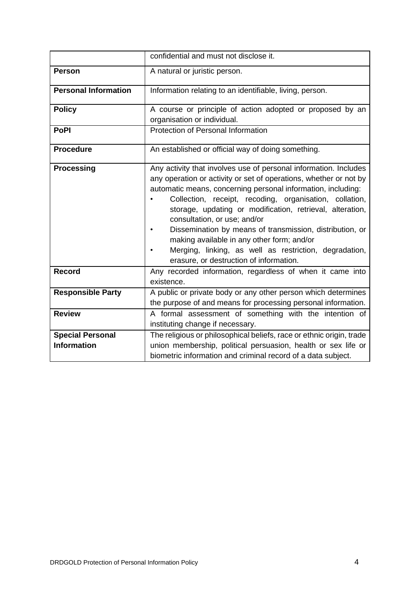|                                               | confidential and must not disclose it.                                                                                                                                                                                                                                                                                                                                                                                                                                                                                                                                       |
|-----------------------------------------------|------------------------------------------------------------------------------------------------------------------------------------------------------------------------------------------------------------------------------------------------------------------------------------------------------------------------------------------------------------------------------------------------------------------------------------------------------------------------------------------------------------------------------------------------------------------------------|
| <b>Person</b>                                 | A natural or juristic person.                                                                                                                                                                                                                                                                                                                                                                                                                                                                                                                                                |
| <b>Personal Information</b>                   | Information relating to an identifiable, living, person.                                                                                                                                                                                                                                                                                                                                                                                                                                                                                                                     |
| <b>Policy</b>                                 | A course or principle of action adopted or proposed by an<br>organisation or individual.                                                                                                                                                                                                                                                                                                                                                                                                                                                                                     |
| <b>PoPI</b>                                   | Protection of Personal Information                                                                                                                                                                                                                                                                                                                                                                                                                                                                                                                                           |
| <b>Procedure</b>                              | An established or official way of doing something.                                                                                                                                                                                                                                                                                                                                                                                                                                                                                                                           |
| <b>Processing</b>                             | Any activity that involves use of personal information. Includes<br>any operation or activity or set of operations, whether or not by<br>automatic means, concerning personal information, including:<br>Collection, receipt, recoding, organisation, collation,<br>storage, updating or modification, retrieval, alteration,<br>consultation, or use; and/or<br>Dissemination by means of transmission, distribution, or<br>making available in any other form; and/or<br>Merging, linking, as well as restriction, degradation,<br>erasure, or destruction of information. |
| <b>Record</b>                                 | Any recorded information, regardless of when it came into<br>existence.                                                                                                                                                                                                                                                                                                                                                                                                                                                                                                      |
| <b>Responsible Party</b>                      | A public or private body or any other person which determines<br>the purpose of and means for processing personal information.                                                                                                                                                                                                                                                                                                                                                                                                                                               |
| <b>Review</b>                                 | A formal assessment of something with the intention of<br>instituting change if necessary.                                                                                                                                                                                                                                                                                                                                                                                                                                                                                   |
| <b>Special Personal</b><br><b>Information</b> | The religious or philosophical beliefs, race or ethnic origin, trade<br>union membership, political persuasion, health or sex life or<br>biometric information and criminal record of a data subject.                                                                                                                                                                                                                                                                                                                                                                        |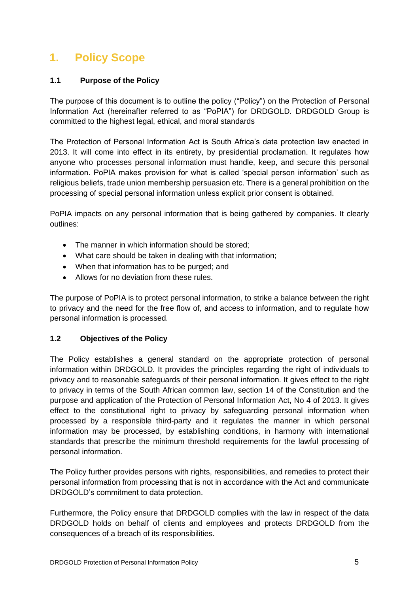# <span id="page-4-0"></span>**1. Policy Scope**

# **1.1 Purpose of the Policy**

The purpose of this document is to outline the policy ("Policy") on the Protection of Personal Information Act (hereinafter referred to as "PoPIA") for DRDGOLD. DRDGOLD Group is committed to the highest legal, ethical, and moral standards

The Protection of Personal Information Act is South Africa's data protection law enacted in 2013. It will come into effect in its entirety, by presidential proclamation. It regulates how anyone who processes personal information must handle, keep, and secure this personal information. PoPIA makes provision for what is called 'special person information' such as religious beliefs, trade union membership persuasion etc. There is a general prohibition on the processing of special personal information unless explicit prior consent is obtained.

PoPIA impacts on any personal information that is being gathered by companies. It clearly outlines:

- The manner in which information should be stored:
- What care should be taken in dealing with that information;
- When that information has to be purged; and
- Allows for no deviation from these rules.

The purpose of PoPIA is to protect personal information, to strike a balance between the right to privacy and the need for the free flow of, and access to information, and to regulate how personal information is processed.

# **1.2 Objectives of the Policy**

The Policy establishes a general standard on the appropriate protection of personal information within DRDGOLD. It provides the principles regarding the right of individuals to privacy and to reasonable safeguards of their personal information. It gives effect to the right to privacy in terms of the South African common law, section 14 of the Constitution and the purpose and application of the Protection of Personal Information Act, No 4 of 2013. It gives effect to the constitutional right to privacy by safeguarding personal information when processed by a responsible third-party and it regulates the manner in which personal information may be processed, by establishing conditions, in harmony with international standards that prescribe the minimum threshold requirements for the lawful processing of personal information.

The Policy further provides persons with rights, responsibilities, and remedies to protect their personal information from processing that is not in accordance with the Act and communicate DRDGOLD's commitment to data protection.

Furthermore, the Policy ensure that DRDGOLD complies with the law in respect of the data DRDGOLD holds on behalf of clients and employees and protects DRDGOLD from the consequences of a breach of its responsibilities.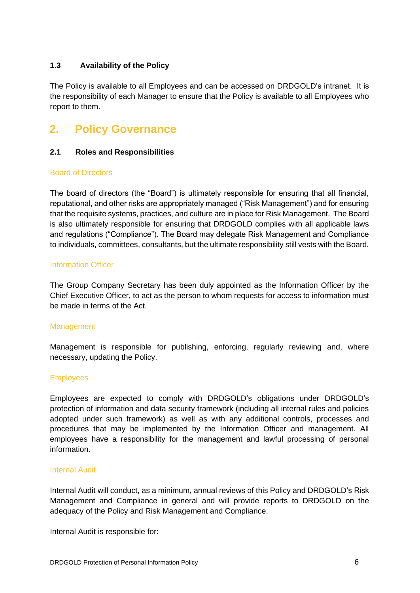### **1.3 Availability of the Policy**

The Policy is available to all Employees and can be accessed on DRDGOLD's intranet. It is the responsibility of each Manager to ensure that the Policy is available to all Employees who report to them.

# <span id="page-5-0"></span>**2. Policy Governance**

### **2.1 Roles and Responsibilities**

### Board of Directors

The board of directors (the "Board") is ultimately responsible for ensuring that all financial, reputational, and other risks are appropriately managed ("Risk Management") and for ensuring that the requisite systems, practices, and culture are in place for Risk Management. The Board is also ultimately responsible for ensuring that DRDGOLD complies with all applicable laws and regulations ("Compliance"). The Board may delegate Risk Management and Compliance to individuals, committees, consultants, but the ultimate responsibility still vests with the Board.

### Information Officer

The Group Company Secretary has been duly appointed as the Information Officer by the Chief Executive Officer, to act as the person to whom requests for access to information must be made in terms of the Act.

#### Management

Management is responsible for publishing, enforcing, regularly reviewing and, where necessary, updating the Policy.

### **Employees**

Employees are expected to comply with DRDGOLD's obligations under DRDGOLD's protection of information and data security framework (including all internal rules and policies adopted under such framework) as well as with any additional controls, processes and procedures that may be implemented by the Information Officer and management. All employees have a responsibility for the management and lawful processing of personal information.

### Internal Audit

Internal Audit will conduct, as a minimum, annual reviews of this Policy and DRDGOLD's Risk Management and Compliance in general and will provide reports to DRDGOLD on the adequacy of the Policy and Risk Management and Compliance.

Internal Audit is responsible for: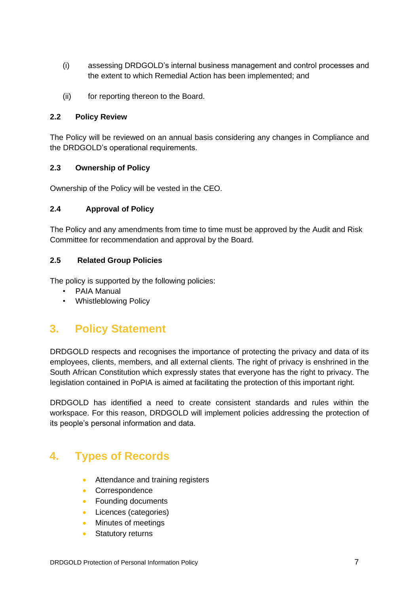- (i) assessing DRDGOLD's internal business management and control processes and the extent to which Remedial Action has been implemented; and
- (ii) for reporting thereon to the Board.

### **2.2 Policy Review**

The Policy will be reviewed on an annual basis considering any changes in Compliance and the DRDGOLD's operational requirements.

### **2.3 Ownership of Policy**

Ownership of the Policy will be vested in the CEO.

### **2.4 Approval of Policy**

The Policy and any amendments from time to time must be approved by the Audit and Risk Committee for recommendation and approval by the Board.

### **2.5 Related Group Policies**

The policy is supported by the following policies:

- PAIA Manual
- Whistleblowing Policy

# <span id="page-6-0"></span>**3. Policy Statement**

DRDGOLD respects and recognises the importance of protecting the privacy and data of its employees, clients, members, and all external clients. The right of privacy is enshrined in the South African Constitution which expressly states that everyone has the right to privacy. The legislation contained in PoPIA is aimed at facilitating the protection of this important right.

DRDGOLD has identified a need to create consistent standards and rules within the workspace. For this reason, DRDGOLD will implement policies addressing the protection of its people's personal information and data.

# <span id="page-6-1"></span>**4. Types of Records**

- Attendance and training registers
- Correspondence
- Founding documents
- Licences (categories)
- Minutes of meetings
- Statutory returns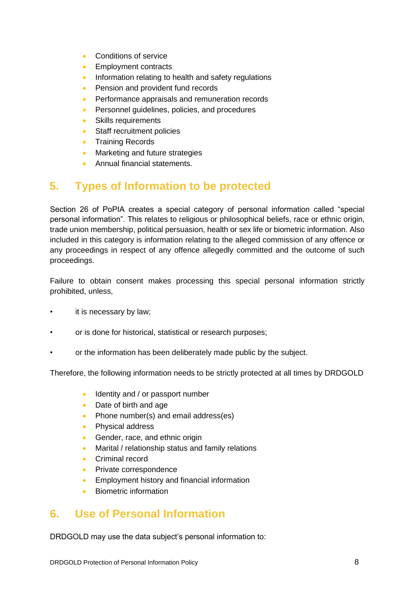- Conditions of service
- Employment contracts
- Information relating to health and safety regulations
- Pension and provident fund records
- Performance appraisals and remuneration records
- Personnel guidelines, policies, and procedures
- Skills requirements
- Staff recruitment policies
- Training Records
- Marketing and future strategies
- Annual financial statements.

# <span id="page-7-0"></span>**5. Types of Information to be protected**

Section 26 of PoPIA creates a special category of personal information called "special personal information". This relates to religious or philosophical beliefs, race or ethnic origin, trade union membership, political persuasion, health or sex life or biometric information. Also included in this category is information relating to the alleged commission of any offence or any proceedings in respect of any offence allegedly committed and the outcome of such proceedings.

Failure to obtain consent makes processing this special personal information strictly prohibited, unless,

- it is necessary by law;
- or is done for historical, statistical or research purposes;
- or the information has been deliberately made public by the subject.

Therefore, the following information needs to be strictly protected at all times by DRDGOLD

- Identity and / or passport number
- Date of birth and age
- Phone number(s) and email address(es)
- Physical address
- Gender, race, and ethnic origin
- Marital / relationship status and family relations
- Criminal record
- Private correspondence
- Employment history and financial information
- Biometric information

# <span id="page-7-1"></span>**6. Use of Personal Information**

DRDGOLD may use the data subject's personal information to: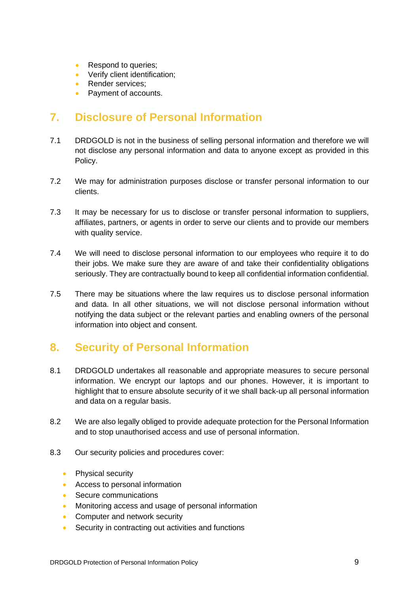- Respond to queries;
- Verify client identification;
- Render services:
- Payment of accounts.

# **7. Disclosure of Personal Information**

- 7.1 DRDGOLD is not in the business of selling personal information and therefore we will not disclose any personal information and data to anyone except as provided in this Policy.
- 7.2 We may for administration purposes disclose or transfer personal information to our clients.
- 7.3 It may be necessary for us to disclose or transfer personal information to suppliers, affiliates, partners, or agents in order to serve our clients and to provide our members with quality service.
- 7.4 We will need to disclose personal information to our employees who require it to do their jobs. We make sure they are aware of and take their confidentiality obligations seriously. They are contractually bound to keep all confidential information confidential.
- 7.5 There may be situations where the law requires us to disclose personal information and data. In all other situations, we will not disclose personal information without notifying the data subject or the relevant parties and enabling owners of the personal information into object and consent.

# **8. Security of Personal Information**

- 8.1 DRDGOLD undertakes all reasonable and appropriate measures to secure personal information. We encrypt our laptops and our phones. However, it is important to highlight that to ensure absolute security of it we shall back-up all personal information and data on a regular basis.
- 8.2 We are also legally obliged to provide adequate protection for the Personal Information and to stop unauthorised access and use of personal information.
- 8.3 Our security policies and procedures cover:
	- Physical security
	- Access to personal information
	- Secure communications
	- Monitoring access and usage of personal information
	- Computer and network security
	- Security in contracting out activities and functions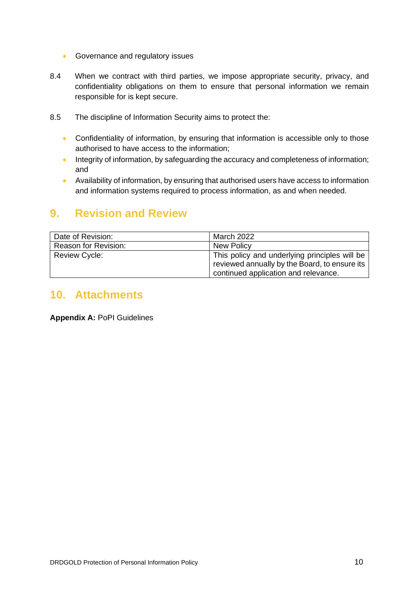- Governance and regulatory issues
- 8.4 When we contract with third parties, we impose appropriate security, privacy, and confidentiality obligations on them to ensure that personal information we remain responsible for is kept secure.
- 8.5 The discipline of Information Security aims to protect the:
	- Confidentiality of information, by ensuring that information is accessible only to those authorised to have access to the information;
	- Integrity of information, by safeguarding the accuracy and completeness of information; and
	- Availability of information, by ensuring that authorised users have access to information and information systems required to process information, as and when needed.

# **9. Revision and Review**

| Date of Revision:           | March 2022                                                                                                                             |
|-----------------------------|----------------------------------------------------------------------------------------------------------------------------------------|
| <b>Reason for Revision:</b> | <b>New Policy</b>                                                                                                                      |
| <b>Review Cycle:</b>        | This policy and underlying principles will be<br>reviewed annually by the Board, to ensure its<br>continued application and relevance. |

# **10. Attachments**

**Appendix A:** PoPI Guidelines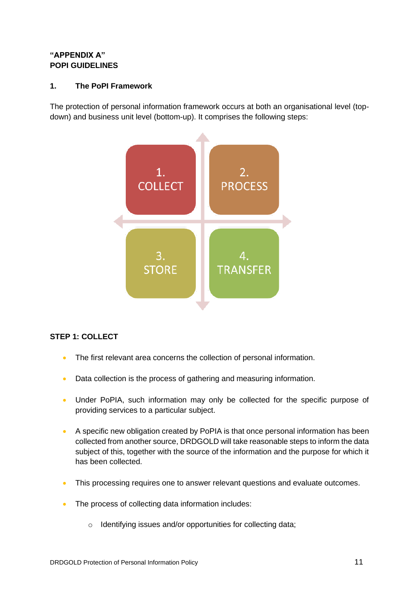# **"APPENDIX A" POPI GUIDELINES**

# **1. The PoPI Framework**

The protection of personal information framework occurs at both an organisational level (topdown) and business unit level (bottom-up). It comprises the following steps:



# **STEP 1: COLLECT**

- The first relevant area concerns the collection of personal information.
- Data collection is the process of gathering and measuring information.
- Under PoPIA, such information may only be collected for the specific purpose of providing services to a particular subject.
- A specific new obligation created by PoPIA is that once personal information has been collected from another source, DRDGOLD will take reasonable steps to inform the data subject of this, together with the source of the information and the purpose for which it has been collected.
- This processing requires one to answer relevant questions and evaluate outcomes.
- The process of collecting data information includes:
	- o Identifying issues and/or opportunities for collecting data;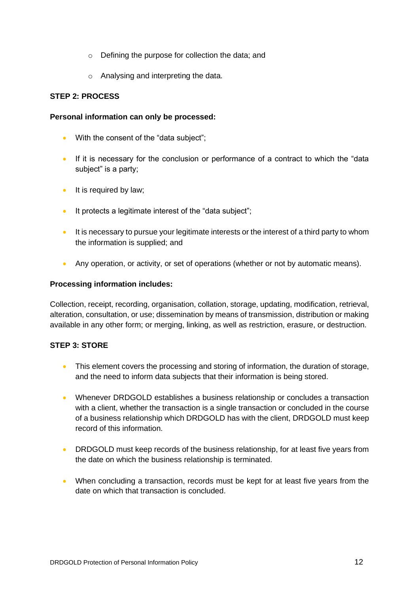- o Defining the purpose for collection the data; and
- o Analysing and interpreting the data.

### **STEP 2: PROCESS**

### **Personal information can only be processed:**

- With the consent of the "data subject";
- If it is necessary for the conclusion or performance of a contract to which the "data" subject" is a party;
- It is required by law;
- It protects a legitimate interest of the "data subject";
- It is necessary to pursue your legitimate interests or the interest of a third party to whom the information is supplied; and
- Any operation, or activity, or set of operations (whether or not by automatic means).

### **Processing information includes:**

Collection, receipt, recording, organisation, collation, storage, updating, modification, retrieval, alteration, consultation, or use; dissemination by means of transmission, distribution or making available in any other form; or merging, linking, as well as restriction, erasure, or destruction.

# **STEP 3: STORE**

- This element covers the processing and storing of information, the duration of storage, and the need to inform data subjects that their information is being stored.
- Whenever DRDGOLD establishes a business relationship or concludes a transaction with a client, whether the transaction is a single transaction or concluded in the course of a business relationship which DRDGOLD has with the client, DRDGOLD must keep record of this information.
- DRDGOLD must keep records of the business relationship, for at least five years from the date on which the business relationship is terminated.
- When concluding a transaction, records must be kept for at least five years from the date on which that transaction is concluded.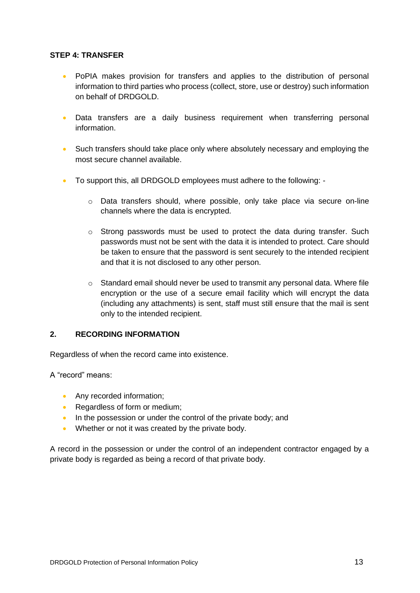### **STEP 4: TRANSFER**

- PoPIA makes provision for transfers and applies to the distribution of personal information to third parties who process (collect, store, use or destroy) such information on behalf of DRDGOLD.
- Data transfers are a daily business requirement when transferring personal information.
- Such transfers should take place only where absolutely necessary and employing the most secure channel available.
- To support this, all DRDGOLD employees must adhere to the following:
	- $\circ$  Data transfers should, where possible, only take place via secure on-line channels where the data is encrypted.
	- $\circ$  Strong passwords must be used to protect the data during transfer. Such passwords must not be sent with the data it is intended to protect. Care should be taken to ensure that the password is sent securely to the intended recipient and that it is not disclosed to any other person.
	- $\circ$  Standard email should never be used to transmit any personal data. Where file encryption or the use of a secure email facility which will encrypt the data (including any attachments) is sent, staff must still ensure that the mail is sent only to the intended recipient.

### **2. RECORDING INFORMATION**

Regardless of when the record came into existence.

A "record" means:

- Any recorded information;
- Regardless of form or medium;
- In the possession or under the control of the private body; and
- Whether or not it was created by the private body.

A record in the possession or under the control of an independent contractor engaged by a private body is regarded as being a record of that private body.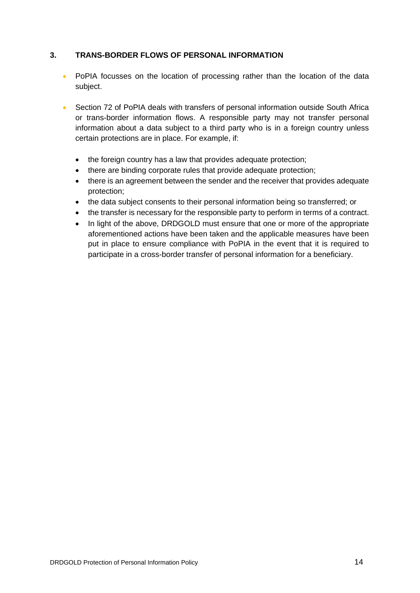### **3. TRANS-BORDER FLOWS OF PERSONAL INFORMATION**

- PoPIA focusses on the location of processing rather than the location of the data subject.
- Section 72 of PoPIA deals with transfers of personal information outside South Africa or trans-border information flows. A responsible party may not transfer personal information about a data subject to a third party who is in a foreign country unless certain protections are in place. For example, if:
	- the foreign country has a law that provides adequate protection;
	- there are binding corporate rules that provide adequate protection;
	- there is an agreement between the sender and the receiver that provides adequate protection;
	- the data subject consents to their personal information being so transferred; or
	- the transfer is necessary for the responsible party to perform in terms of a contract.
	- In light of the above, DRDGOLD must ensure that one or more of the appropriate aforementioned actions have been taken and the applicable measures have been put in place to ensure compliance with PoPIA in the event that it is required to participate in a cross-border transfer of personal information for a beneficiary.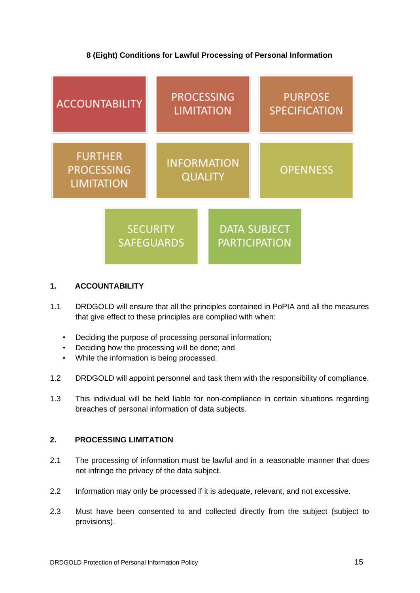# **8 (Eight) Conditions for Lawful Processing of Personal Information**



### **1. ACCOUNTABILITY**

- 1.1 DRDGOLD will ensure that all the principles contained in PoPIA and all the measures that give effect to these principles are complied with when:
	- Deciding the purpose of processing personal information;
	- Deciding how the processing will be done; and
	- While the information is being processed.
- 1.2 DRDGOLD will appoint personnel and task them with the responsibility of compliance.
- 1.3 This individual will be held liable for non-compliance in certain situations regarding breaches of personal information of data subjects.

### **2. PROCESSING LIMITATION**

- 2.1 The processing of information must be lawful and in a reasonable manner that does not infringe the privacy of the data subject.
- 2.2 Information may only be processed if it is adequate, relevant, and not excessive.
- 2.3 Must have been consented to and collected directly from the subject (subject to provisions).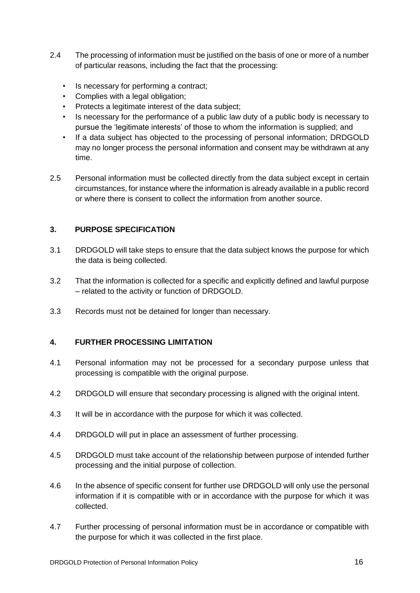- 2.4 The processing of information must be justified on the basis of one or more of a number of particular reasons, including the fact that the processing:
	- Is necessary for performing a contract;
	- Complies with a legal obligation;
	- Protects a legitimate interest of the data subject;
	- Is necessary for the performance of a public law duty of a public body is necessary to pursue the 'legitimate interests' of those to whom the information is supplied; and
	- If a data subject has objected to the processing of personal information; DRDGOLD may no longer process the personal information and consent may be withdrawn at any time.
- 2.5 Personal information must be collected directly from the data subject except in certain circumstances, for instance where the information is already available in a public record or where there is consent to collect the information from another source.

### **3. PURPOSE SPECIFICATION**

- 3.1 DRDGOLD will take steps to ensure that the data subject knows the purpose for which the data is being collected.
- 3.2 That the information is collected for a specific and explicitly defined and lawful purpose – related to the activity or function of DRDGOLD.
- 3.3 Records must not be detained for longer than necessary.

### **4. FURTHER PROCESSING LIMITATION**

- 4.1 Personal information may not be processed for a secondary purpose unless that processing is compatible with the original purpose.
- 4.2 DRDGOLD will ensure that secondary processing is aligned with the original intent.
- 4.3 It will be in accordance with the purpose for which it was collected.
- 4.4 DRDGOLD will put in place an assessment of further processing.
- 4.5 DRDGOLD must take account of the relationship between purpose of intended further processing and the initial purpose of collection.
- 4.6 In the absence of specific consent for further use DRDGOLD will only use the personal information if it is compatible with or in accordance with the purpose for which it was collected.
- 4.7 Further processing of personal information must be in accordance or compatible with the purpose for which it was collected in the first place.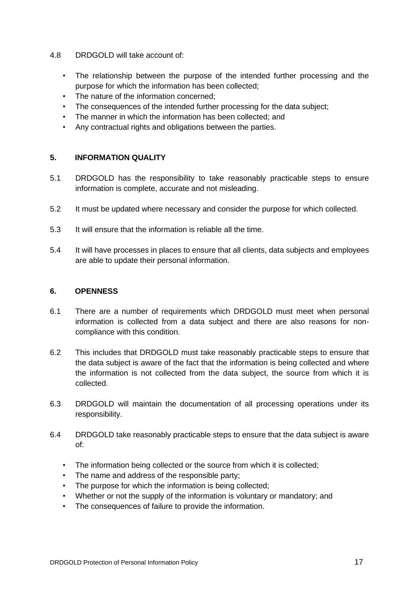- 4.8 DRDGOLD will take account of:
	- The relationship between the purpose of the intended further processing and the purpose for which the information has been collected;
	- The nature of the information concerned;
	- The consequences of the intended further processing for the data subject;
	- The manner in which the information has been collected; and
	- Any contractual rights and obligations between the parties.

### **5. INFORMATION QUALITY**

- 5.1 DRDGOLD has the responsibility to take reasonably practicable steps to ensure information is complete, accurate and not misleading.
- 5.2 It must be updated where necessary and consider the purpose for which collected.
- 5.3 It will ensure that the information is reliable all the time.
- 5.4 It will have processes in places to ensure that all clients, data subjects and employees are able to update their personal information.

#### **6. OPENNESS**

- 6.1 There are a number of requirements which DRDGOLD must meet when personal information is collected from a data subject and there are also reasons for noncompliance with this condition.
- 6.2 This includes that DRDGOLD must take reasonably practicable steps to ensure that the data subject is aware of the fact that the information is being collected and where the information is not collected from the data subject, the source from which it is collected.
- 6.3 DRDGOLD will maintain the documentation of all processing operations under its responsibility.
- 6.4 DRDGOLD take reasonably practicable steps to ensure that the data subject is aware of:
	- The information being collected or the source from which it is collected;
	- The name and address of the responsible party;
	- The purpose for which the information is being collected;
	- Whether or not the supply of the information is voluntary or mandatory; and
	- The consequences of failure to provide the information.